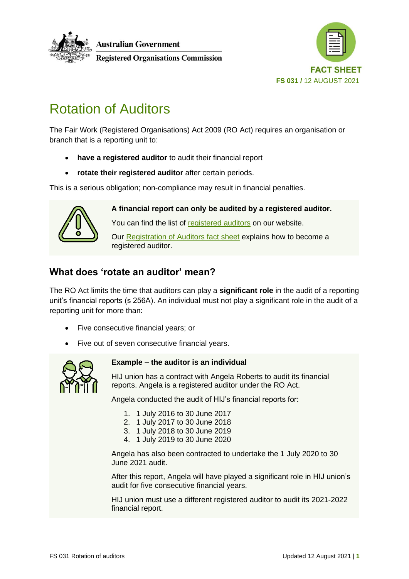



# Rotation of Auditors

The Fair Work (Registered Organisations) Act 2009 (RO Act) requires an organisation or branch that is a reporting unit to:

- **have a registered auditor** to audit their financial report
- **rotate their registered auditor** after certain periods.

This is a serious obligation; non-compliance may result in financial penalties.



**A financial report can only be audited by a registered auditor.** You can find the list of [registered auditors](https://www.roc.gov.au/running-a-registered-organisation/registered-auditors) on our website. Our [Registration of Auditors fact sheet](https://www.roc.gov.au/ArticleDocuments/429/fs002-registration-of-auditors-fact-sheet.pdf.aspx) explains how to become a registered auditor.

## **What does 'rotate an auditor' mean?**

The RO Act limits the time that auditors can play a **significant role** in the audit of a reporting unit's financial reports (s 256A). An individual must not play a significant role in the audit of a reporting unit for more than:

- Five consecutive financial years; or
- Five out of seven consecutive financial years.



## **Example – the auditor is an individual**

HIJ union has a contract with Angela Roberts to audit its financial reports. Angela is a registered auditor under the RO Act.

Angela conducted the audit of HIJ's financial reports for:

- 1. 1 July 2016 to 30 June 2017
- 2. 1 July 2017 to 30 June 2018
- 3. 1 July 2018 to 30 June 2019
- 4. 1 July 2019 to 30 June 2020

Angela has also been contracted to undertake the 1 July 2020 to 30 June 2021 audit.

After this report, Angela will have played a significant role in HIJ union's audit for five consecutive financial years.

HIJ union must use a different registered auditor to audit its 2021-2022 financial report.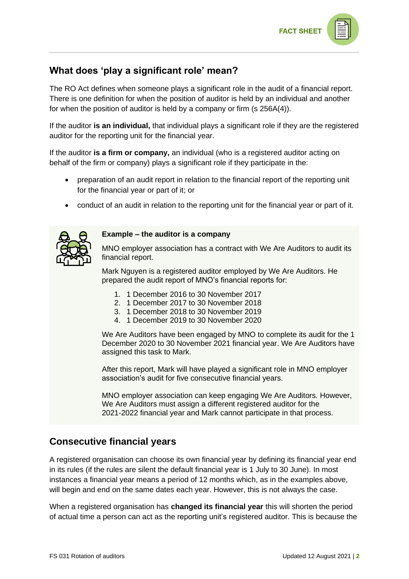

# **What does 'play a significant role' mean?**

The RO Act defines when someone plays a significant role in the audit of a financial report. There is one definition for when the position of auditor is held by an individual and another for when the position of auditor is held by a company or firm (s 256A(4)).

If the auditor **is an individual,** that individual plays a significant role if they are the registered auditor for the reporting unit for the financial year.

If the auditor **is a firm or company,** an individual (who is a registered auditor acting on behalf of the firm or company) plays a significant role if they participate in the:

- preparation of an audit report in relation to the financial report of the reporting unit for the financial year or part of it; or
- conduct of an audit in relation to the reporting unit for the financial year or part of it.



#### **Example – the auditor is a company**

MNO employer association has a contract with We Are Auditors to audit its financial report.

Mark Nguyen is a registered auditor employed by We Are Auditors. He prepared the audit report of MNO's financial reports for:

- 1. 1 December 2016 to 30 November 2017
- 2. 1 December 2017 to 30 November 2018
- 3. 1 December 2018 to 30 November 2019
- 4. 1 December 2019 to 30 November 2020

We Are Auditors have been engaged by MNO to complete its audit for the 1 December 2020 to 30 November 2021 financial year. We Are Auditors have assigned this task to Mark.

After this report, Mark will have played a significant role in MNO employer association's audit for five consecutive financial years.

MNO employer association can keep engaging We Are Auditors. However, We Are Auditors must assign a different registered auditor for the 2021-2022 financial year and Mark cannot participate in that process.

## **Consecutive financial years**

A registered organisation can choose its own financial year by defining its financial year end in its rules (if the rules are silent the default financial year is 1 July to 30 June). In most instances a financial year means a period of 12 months which, as in the examples above, will begin and end on the same dates each year. However, this is not always the case.

When a registered organisation has **changed its financial year** this will shorten the period of actual time a person can act as the reporting unit's registered auditor. This is because the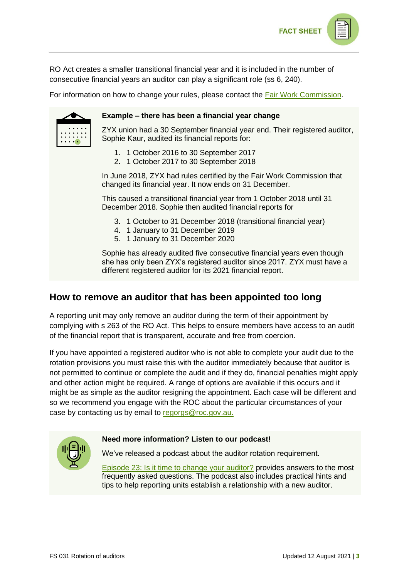

RO Act creates a smaller transitional financial year and it is included in the number of consecutive financial years an auditor can play a significant role (ss 6, 240).

For information on how to change your rules, please contact the [Fair Work Commission.](https://www.fwc.gov.au/)



#### **Example – there has been a financial year change**

ZYX union had a 30 September financial year end. Their registered auditor, Sophie Kaur, audited its financial reports for:

- 1. 1 October 2016 to 30 September 2017
- 2. 1 October 2017 to 30 September 2018

In June 2018, ZYX had rules certified by the Fair Work Commission that changed its financial year. It now ends on 31 December.

This caused a transitional financial year from 1 October 2018 until 31 December 2018. Sophie then audited financial reports for

- 3. 1 October to 31 December 2018 (transitional financial year)
- 4. 1 January to 31 December 2019
- 5. 1 January to 31 December 2020

Sophie has already audited five consecutive financial years even though she has only been ZYX's registered auditor since 2017. ZYX must have a different registered auditor for its 2021 financial report.

## **How to remove an auditor that has been appointed too long**

A reporting unit may only remove an auditor during the term of their appointment by complying with s 263 of the RO Act. This helps to ensure members have access to an audit of the financial report that is transparent, accurate and free from coercion.

If you have appointed a registered auditor who is not able to complete your audit due to the rotation provisions you must raise this with the auditor immediately because that auditor is not permitted to continue or complete the audit and if they do, financial penalties might apply and other action might be required. A range of options are available if this occurs and it might be as simple as the auditor resigning the appointment. Each case will be different and so we recommend you engage with the ROC about the particular circumstances of your case by contacting us by email to [regorgs@roc.gov.au.](mailto:regorgs@roc.gov.au)



## **Need more information? Listen to our podcast!**

We've released a podcast about the auditor rotation requirement.

[Episode 23: Is it time to change your auditor?](https://www.roc.gov.au/education/podcast-episode-23) provides answers to the most frequently asked questions. The podcast also includes practical hints and tips to help reporting units establish a relationship with a new auditor.